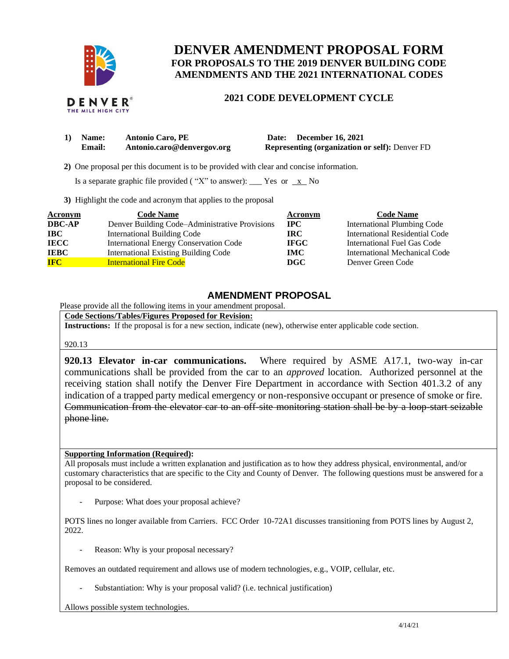

## **DENVER AMENDMENT PROPOSAL FORM FOR PROPOSALS TO THE 2019 DENVER BUILDING CODE AMENDMENTS AND THE 2021 INTERNATIONAL CODES**

## **2021 CODE DEVELOPMENT CYCLE**

| 1) Name: | <b>Antonio Caro, PE</b>    | Date: December 16, 2021                               |
|----------|----------------------------|-------------------------------------------------------|
| Email:   | Antonio.caro@denvergov.org | <b>Representing (organization or self): Denver FD</b> |

 **2)** One proposal per this document is to be provided with clear and concise information.

Is a separate graphic file provided ("X" to answer): \_\_\_ Yes or  $\overline{x}$  No

**3)** Highlight the code and acronym that applies to the proposal

| Acronym       | <b>Code Name</b>                               | Acronym      | <b>Code Name</b>                   |
|---------------|------------------------------------------------|--------------|------------------------------------|
| <b>DBC-AP</b> | Denver Building Code-Administrative Provisions | $_{\rm IPC}$ | <b>International Plumbing Code</b> |
| IBC           | <b>International Building Code</b>             | IRC-         | International Residential Code     |
| <b>IECC</b>   | <b>International Energy Conservation Code</b>  | <b>IFGC</b>  | International Fuel Gas Code        |
| <b>IEBC</b>   | <b>International Existing Building Code</b>    | <b>IMC</b>   | International Mechanical Code      |
| <b>IFC</b>    | <b>International Fire Code</b>                 | DGC          | Denver Green Code                  |

## **AMENDMENT PROPOSAL**

Please provide all the following items in your amendment proposal.

**Code Sections/Tables/Figures Proposed for Revision:**

**Instructions:** If the proposal is for a new section, indicate (new), otherwise enter applicable code section.

920.13

**920.13 Elevator in-car communications.** Where required by ASME A17.1, two-way in-car communications shall be provided from the car to an *approved* location. Authorized personnel at the receiving station shall notify the Denver Fire Department in accordance with Section 401.3.2 of any indication of a trapped party medical emergency or non-responsive occupant or presence of smoke or fire. Communication from the elevator car to an off-site monitoring station shall be by a loop-start seizable phone line.

## **Supporting Information (Required):**

All proposals must include a written explanation and justification as to how they address physical, environmental, and/or customary characteristics that are specific to the City and County of Denver. The following questions must be answered for a proposal to be considered.

Purpose: What does your proposal achieve?

POTS lines no longer available from Carriers. FCC Order 10-72A1 discusses transitioning from POTS lines by August 2, 2022.

Reason: Why is your proposal necessary?

Removes an outdated requirement and allows use of modern technologies, e.g., VOIP, cellular, etc.

Substantiation: Why is your proposal valid? (i.e. technical justification)

Allows possible system technologies.